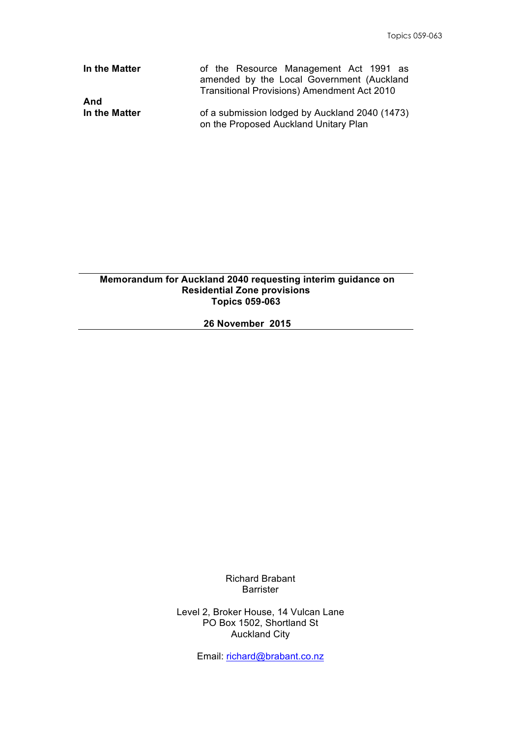| In the Matter | of the Resource Management Act 1991 as<br>amended by the Local Government (Auckland<br><b>Transitional Provisions) Amendment Act 2010</b> |
|---------------|-------------------------------------------------------------------------------------------------------------------------------------------|
| And           | of a submission lodged by Auckland 2040 (1473)                                                                                            |
| In the Matter | on the Proposed Auckland Unitary Plan                                                                                                     |

## **Memorandum for Auckland 2040 requesting interim guidance on Residential Zone provisions Topics 059-063**

## **26 November 2015**

Richard Brabant Barrister

Level 2, Broker House, 14 Vulcan Lane PO Box 1502, Shortland St Auckland City

Email: richard@brabant.co.nz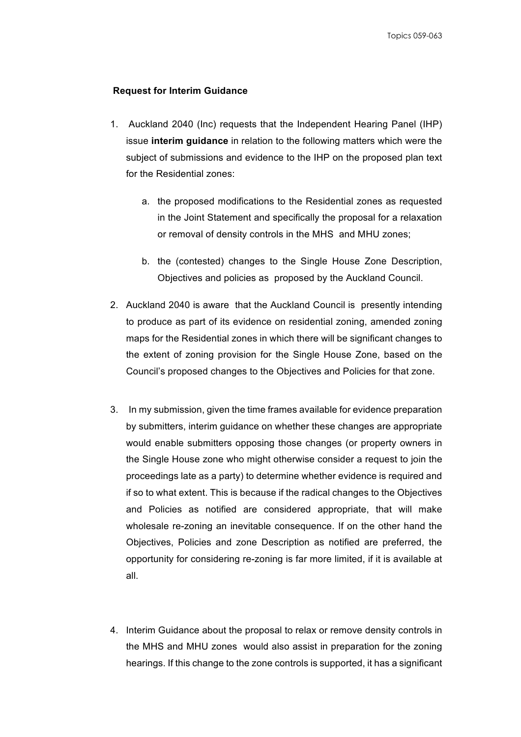## **Request for Interim Guidance**

- 1. Auckland 2040 (Inc) requests that the Independent Hearing Panel (IHP) issue **interim guidance** in relation to the following matters which were the subject of submissions and evidence to the IHP on the proposed plan text for the Residential zones:
	- a. the proposed modifications to the Residential zones as requested in the Joint Statement and specifically the proposal for a relaxation or removal of density controls in the MHS and MHU zones;
	- b. the (contested) changes to the Single House Zone Description, Objectives and policies as proposed by the Auckland Council.
- 2. Auckland 2040 is aware that the Auckland Council is presently intending to produce as part of its evidence on residential zoning, amended zoning maps for the Residential zones in which there will be significant changes to the extent of zoning provision for the Single House Zone, based on the Council's proposed changes to the Objectives and Policies for that zone.
- 3. In my submission, given the time frames available for evidence preparation by submitters, interim guidance on whether these changes are appropriate would enable submitters opposing those changes (or property owners in the Single House zone who might otherwise consider a request to join the proceedings late as a party) to determine whether evidence is required and if so to what extent. This is because if the radical changes to the Objectives and Policies as notified are considered appropriate, that will make wholesale re-zoning an inevitable consequence. If on the other hand the Objectives, Policies and zone Description as notified are preferred, the opportunity for considering re-zoning is far more limited, if it is available at all.
- 4. Interim Guidance about the proposal to relax or remove density controls in the MHS and MHU zones would also assist in preparation for the zoning hearings. If this change to the zone controls is supported, it has a significant